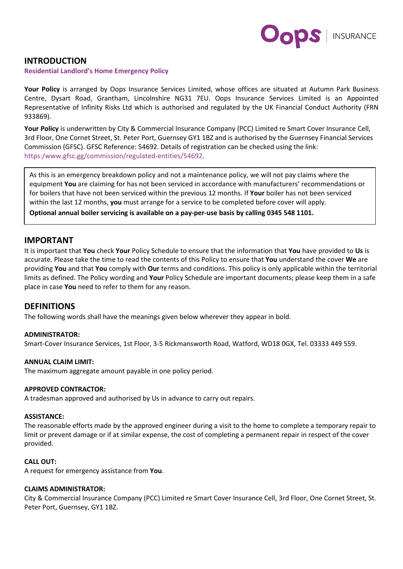

## **INTRODUCTION**

#### **Residential Landlord's Home Emergency Policy**

**Your Policy** is arranged by Oops Insurance Services Limited, whose offices are situated at Autumn Park Business Centre, Dysart Road, Grantham, Lincolnshire NG31 7EU. Oops Insurance Services Limited is an Appointed Representative of Infinity Risks Ltd which is authorised and regulated by the UK Financial Conduct Authority (FRN 933869).

**Your Policy** is underwritten by City & Commercial Insurance Company (PCC) Limited re Smart Cover Insurance Cell, 3rd Floor, One Cornet Street, St. Peter Port, Guernsey GY1 1BZ and is authorised by the Guernsey Financial Services Commission (GFSC). GFSC Reference: 54692. Details of registration can be checked using the link: https:/www.gfsc.gg/commission/regulated-entities/54692.

As this is an emergency breakdown policy and not a maintenance policy, we will not pay claims where the equipment **You** are claiming for has not been serviced in accordance with manufacturers' recommendations or for boilers that have not been serviced within the previous 12 months. If **Your** boiler has not been serviced within the last 12 months, **you** must arrange for a service to be completed before cover will apply.

**Optional annual boiler servicing is available on a pay-per-use basis by calling 0345 548 1101.** 

### **IMPORTANT**

It is important that **You** check **Your** Policy Schedule to ensure that the information that **You** have provided to **Us** is accurate. Please take the time to read the contents of this Policy to ensure that **You** understand the cover **We** are providing **You** and that **You** comply with **Our** terms and conditions. This policy is only applicable within the territorial limits as defined. The Policy wording and **Your** Policy Schedule are important documents; please keep them in a safe place in case **You** need to refer to them for any reason.

## **DEFINITIONS**

The following words shall have the meanings given below wherever they appear in bold.

#### **ADMINISTRATOR:**

Smart-Cover Insurance Services, 1st Floor, 3-5 Rickmansworth Road, Watford, WD18 0GX, Tel. 03333 449 559.

#### **ANNUAL CLAIM LIMIT:**

The maximum aggregate amount payable in one policy period.

#### **APPROVED CONTRACTOR:**

A tradesman approved and authorised by Us in advance to carry out repairs.

#### **ASSISTANCE:**

The reasonable efforts made by the approved engineer during a visit to the home to complete a temporary repair to limit or prevent damage or if at similar expense, the cost of completing a permanent repair in respect of the cover provided.

### **CALL OUT:**

A request for emergency assistance from **You**.

#### **CLAIMS ADMINISTRATOR:**

City & Commercial Insurance Company (PCC) Limited re Smart Cover Insurance Cell, 3rd Floor, One Cornet Street, St. Peter Port, Guernsey, GY1 1BZ.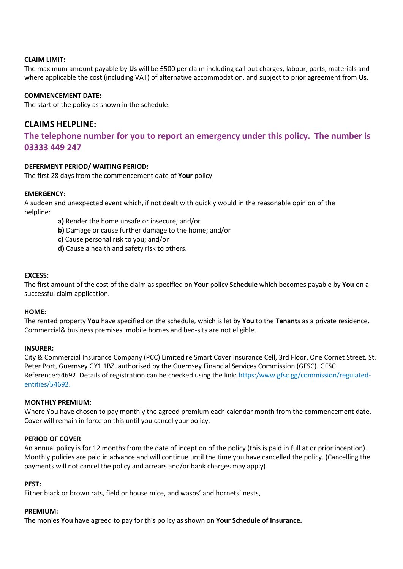## **CLAIM LIMIT:**

The maximum amount payable by **Us** will be £500 per claim including call out charges, labour, parts, materials and where applicable the cost (including VAT) of alternative accommodation, and subject to prior agreement from **Us**.

### **COMMENCEMENT DATE:**

The start of the policy as shown in the schedule.

# **CLAIMS HELPLINE:**

# **The telephone number for you to report an emergency under this policy. The number is 03333 449 247**

### **DEFERMENT PERIOD/ WAITING PERIOD:**

The first 28 days from the commencement date of **Your** policy

### **EMERGENCY:**

A sudden and unexpected event which, if not dealt with quickly would in the reasonable opinion of the helpline:

- **a)** Render the home unsafe or insecure; and/or
- **b)** Damage or cause further damage to the home; and/or
- **c)** Cause personal risk to you; and/or
- **d)** Cause a health and safety risk to others.

### **EXCESS:**

The first amount of the cost of the claim as specified on **Your** policy **Schedule** which becomes payable by **You** on a successful claim application.

#### **HOME:**

The rented property **You** have specified on the schedule, which is let by **You** to the **Tenant**s as a private residence. Commercial& business premises, mobile homes and bed-sits are not eligible.

#### **INSURER:**

City & Commercial Insurance Company (PCC) Limited re Smart Cover Insurance Cell, 3rd Floor, One Cornet Street, St. Peter Port, Guernsey GY1 1BZ, authorised by the Guernsey Financial Services Commission (GFSC). GFSC Reference:54692. Details of registration can be checked using the link: https:/www.gfsc.gg/commission/regulatedentities/54692.

#### **MONTHLY PREMIUM:**

Where You have chosen to pay monthly the agreed premium each calendar month from the commencement date. Cover will remain in force on this until you cancel your policy.

### **PERIOD OF COVER**

An annual policy is for 12 months from the date of inception of the policy (this is paid in full at or prior inception). Monthly policies are paid in advance and will continue until the time you have cancelled the policy. (Cancelling the payments will not cancel the policy and arrears and/or bank charges may apply)

#### **PEST:**

Either black or brown rats, field or house mice, and wasps' and hornets' nests,

### **PREMIUM:**

The monies **You** have agreed to pay for this policy as shown on **Your Schedule of Insurance.**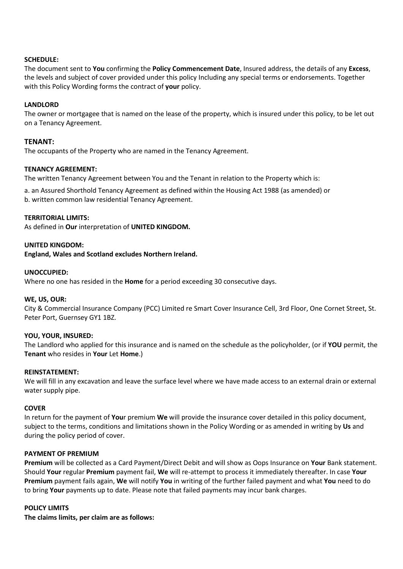### **SCHEDULE:**

The document sent to **You** confirming the **Policy Commencement Date**, Insured address, the details of any **Excess**, the levels and subject of cover provided under this policy Including any special terms or endorsements. Together with this Policy Wording forms the contract of **your** policy.

### **LANDLORD**

The owner or mortgagee that is named on the lease of the property, which is insured under this policy, to be let out on a Tenancy Agreement.

### **TENANT:**

The occupants of the Property who are named in the Tenancy Agreement.

### **TENANCY AGREEMENT:**

The written Tenancy Agreement between You and the Tenant in relation to the Property which is:

a. an Assured Shorthold Tenancy Agreement as defined within the Housing Act 1988 (as amended) or b. written common law residential Tenancy Agreement.

### **TERRITORIAL LIMITS:**

As defined in **Our** interpretation of **UNITED KINGDOM.**

### **UNITED KINGDOM:**

**England, Wales and Scotland excludes Northern Ireland.** 

#### **UNOCCUPIED:**

Where no one has resided in the **Home** for a period exceeding 30 consecutive days.

### **WE, US, OUR:**

City & Commercial Insurance Company (PCC) Limited re Smart Cover Insurance Cell, 3rd Floor, One Cornet Street, St. Peter Port, Guernsey GY1 1BZ.

### **YOU, YOUR, INSURED:**

The Landlord who applied for this insurance and is named on the schedule as the policyholder, (or if **YOU** permit, the **Tenant** who resides in **Your** Let **Home**.)

#### **REINSTATEMENT:**

We will fill in any excavation and leave the surface level where we have made access to an external drain or external water supply pipe.

#### **COVER**

In return for the payment of **You**r premium **We** will provide the insurance cover detailed in this policy document, subject to the terms, conditions and limitations shown in the Policy Wording or as amended in writing by **Us** and during the policy period of cover.

#### **PAYMENT OF PREMIUM**

**Premium** will be collected as a Card Payment/Direct Debit and will show as Oops Insurance on **Your** Bank statement. Should **Your** regular **Premium** payment fail, **We** will re-attempt to process it immediately thereafter. In case **Your Premium** payment fails again, **We** will notify **You** in writing of the further failed payment and what **You** need to do to bring **Your** payments up to date. Please note that failed payments may incur bank charges.

#### **POLICY LIMITS**

**The claims limits, per claim are as follows:**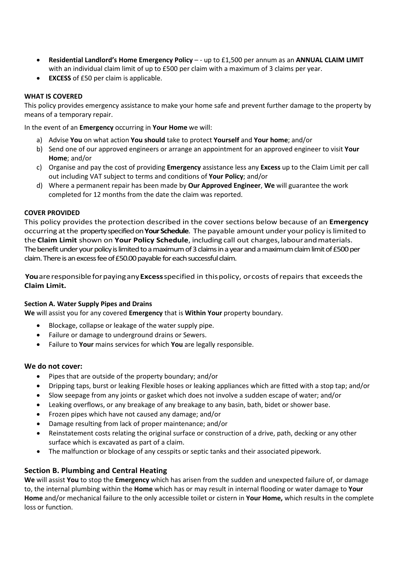- **Residential Landlord's Home Emergency Policy** - up to £1,500 per annum as an **ANNUAL CLAIM LIMIT** with an individual claim limit of up to £500 per claim with a maximum of 3 claims per year.
- **EXCESS** of £50 per claim is applicable.

## **WHAT IS COVERED**

This policy provides emergency assistance to make your home safe and prevent further damage to the property by means of a temporary repair.

In the event of an **Emergency** occurring in **Your Home** we will:

- a) Advise **You** on what action **You should** take to protect **Yourself** and **Your home**; and/or
- b) Send one of our approved engineers or arrange an appointment for an approved engineer to visit **Your Home**; and/or
- c) Organise and pay the cost of providing **Emergency** assistance less any **Excess** up to the Claim Limit per call out including VAT subject to terms and conditions of **Your Policy**; and/or
- d) Where a permanent repair has been made by **Our Approved Engineer**, **We** will guarantee the work completed for 12 months from the date the claim was reported.

### **COVER PROVIDED**

This policy provides the protection described in the cover sections below because of an **Emergency** occurring atthe property specified on **Your Schedule**. The payable amount under your policy islimited to the **Claim Limit** shown on **Your Policy Schedule**, including call out charges,labourandmaterials. The benefit under your policy is limited to a maximum of 3 claims in a year and a maximum claim limit of £500 per claim. There is an excess fee of £50.00 payable for each successful claim.

You are responsible for paying any Excess specified in this policy, or costs of repairs that exceeds the **Claim Limit.**

### **Section A. Water Supply Pipes and Drains**

**We** will assist you for any covered **Emergency** that is **Within Your** property boundary.

- Blockage, collapse or leakage of the water supply pipe.
- Failure or damage to underground drains or Sewers.
- Failure to **Your** mains services for which **You** are legally responsible.

### **We do not cover:**

- Pipes that are outside of the property boundary; and/or
- Dripping taps, burst or leaking Flexible hoses or leaking appliances which are fitted with a stop tap; and/or
- Slow seepage from any joints or gasket which does not involve a sudden escape of water; and/or
- Leaking overflows, or any breakage of any breakage to any basin, bath, bidet or shower base.
- Frozen pipes which have not caused any damage; and/or
- Damage resulting from lack of proper maintenance; and/or
- Reinstatement costs relating the original surface or construction of a drive, path, decking or any other surface which is excavated as part of a claim.
- The malfunction or blockage of any cesspits or septic tanks and their associated pipework.

## **Section B. Plumbing and Central Heating**

**We** will assist **You** to stop the **Emergency** which has arisen from the sudden and unexpected failure of, or damage to, the internal plumbing within the **Home** which has or may result in internal flooding or water damage to **Your Home** and/or mechanical failure to the only accessible toilet or cistern in **Your Home,** which results in the complete loss or function.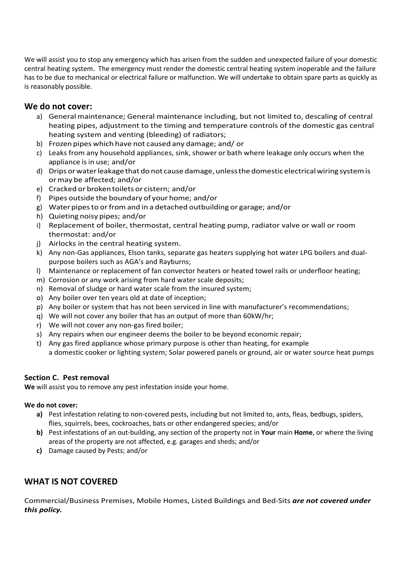We will assist you to stop any emergency which has arisen from the sudden and unexpected failure of your domestic central heating system. The emergency must render the domestic central heating system inoperable and the failure has to be due to mechanical or electrical failure or malfunction. We will undertake to obtain spare parts as quickly as is reasonably possible.

# **We do not cover:**

- a) General maintenance; General maintenance including, but not limited to, descaling of central heating pipes, adjustment to the timing and temperature controls of the domestic gas central heating system and venting (bleeding) of radiators;
- b) Frozen pipes which have not caused any damage; and/ or
- c) Leaks from any household appliances, sink, shower or bath where leakage only occurs when the appliance is in use; and/or
- d) Drips or water leakage that do not cause damage, unless the domestic electrical wiring system is ormay be affected; and/or
- e) Cracked or broken toilets or cistern; and/or
- f) Pipes outside the boundary of your home; and/or
- g) Water pipesto orfrom and in a detached outbuilding or garage; and/or
- h) Quieting noisy pipes; and/or
- i) Replacement of boiler, thermostat, central heating pump, radiator valve or wall or room thermostat: and/or
- j) Airlocks in the central heating system.
- k) Any non-Gas appliances, Elson tanks, separate gas heaters supplying hot water LPG boilers and dualpurpose boilers such as AGA's and Rayburns;
- l) Maintenance or replacement of fan convector heaters or heated towel rails or underfloor heating;
- m) Corrosion or any work arising from hard water scale deposits;
- n) Removal of sludge or hard water scale from the insured system;
- o) Any boiler over ten years old at date of inception;
- p) Any boiler or system that has not been serviced in line with manufacturer's recommendations;
- q) We will not cover any boiler that has an output of more than 60kW/hr;
- r) We will not cover any non-gas fired boiler;
- s) Any repairs when our engineer deems the boiler to be beyond economic repair;
- t) Any gas fired appliance whose primary purpose is other than heating, for example a domestic cooker or lighting system; Solar powered panels or ground, air or water source heat pumps

## **Section C. Pest removal**

**We** will assist you to remove any pest infestation inside your home.

## **We do not cover:**

- **a)** Pest infestation relating to non-covered pests, including but not limited to, ants, fleas, bedbugs, spiders, flies, squirrels, bees, cockroaches, bats or other endangered species; and/or
- **b)** Pest infestations of an out-building, any section of the property not in **Your** main **Home**, or where the living areas of the property are not affected, e.g. garages and sheds; and/or
- **c)** Damage caused by Pests; and/or

# **WHAT IS NOT COVERED**

Commercial/Business Premises, Mobile Homes, Listed Buildings and Bed-Sits *are not covered under this policy.*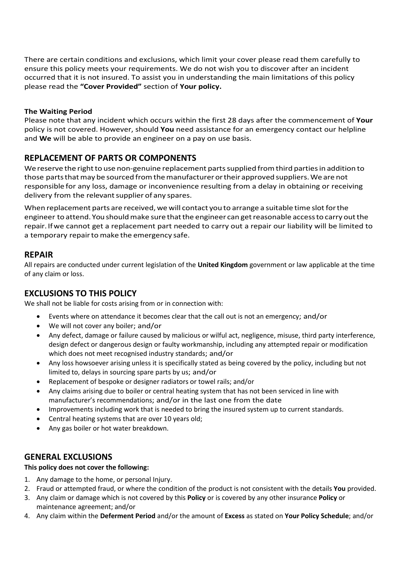There are certain conditions and exclusions, which limit your cover please read them carefully to ensure this policy meets your requirements. We do not wish you to discover after an incident occurred that it is not insured. To assist you in understanding the main limitations of this policy please read the **"Cover Provided"** section of **Your policy.**

## **The Waiting Period**

Please note that any incident which occurs within the first 28 days after the commencement of **Your** policy is not covered. However, should **You** need assistance for an emergency contact our helpline and **We** will be able to provide an engineer on a pay on use basis.

# **REPLACEMENT OF PARTS OR COMPONENTS**

We reserve the right to use non-genuine replacement parts supplied from third parties in addition to those parts that may be sourced from the manufacturer or their approved suppliers. We are not responsible for any loss, damage or inconvenience resulting from a delay in obtaining or receiving delivery from the relevant supplier of any spares.

When replacement parts are received, we will contact you to arrange a suitable time slot for the engineer to attend.Youshouldmake sure thatthe engineer can getreasonable accessto carry outthe repair. Ifwe cannot get a replacement part needed to carry out a repair our liability will be limited to a temporary repair to make the emergency safe.

# **REPAIR**

All repairs are conducted under current legislation of the **United Kingdom** government or law applicable at the time of any claim or loss.

# **EXCLUSIONS TO THIS POLICY**

We shall not be liable for costs arising from or in connection with:

- Events where on attendance it becomes clear that the call out is not an emergency; and/or
- We will not cover any boiler; and/or
- Any defect, damage or failure caused by malicious or wilful act, negligence, misuse, third party interference, design defect or dangerous design or faulty workmanship, including any attempted repair or modification which does not meet recognised industry standards; and/or
- Any loss howsoever arising unless it is specifically stated as being covered by the policy, including but not limited to, delays in sourcing spare parts by us; and/or
- Replacement of bespoke or designer radiators or towel rails; and/or
- Any claims arising due to boiler or central heating system that has not been serviced in line with manufacturer's recommendations; and/or in the last one from the date
- Improvements including work that is needed to bring the insured system up to current standards.
- Central heating systems that are over 10 years old;
- Any gas boiler or hot water breakdown.

## **GENERAL EXCLUSIONS**

### **This policy does not cover the following:**

- 1. Any damage to the home, or personal Injury.
- 2. Fraud or attempted fraud, or where the condition of the product is not consistent with the details **You** provided.
- 3. Any claim or damage which is not covered by this **Policy** or is covered by any other insurance **Policy** or maintenance agreement; and/or
- 4. Any claim within the **Deferment Period** and/or the amount of **Excess** as stated on **Your Policy Schedule**; and/or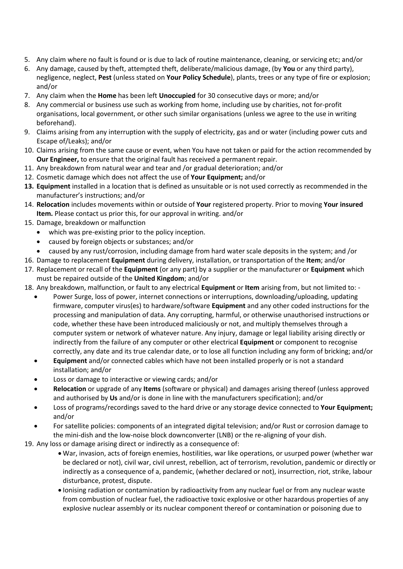- 5. Any claim where no fault is found or is due to lack of routine maintenance, cleaning, or servicing etc; and/or
- 6. Any damage, caused by theft, attempted theft, deliberate/malicious damage, (by **You** or any third party), negligence, neglect, **Pest** (unless stated on **Your Policy Schedule**), plants, trees or any type of fire or explosion; and/or
- 7. Any claim when the **Home** has been left **Unoccupied** for 30 consecutive days or more; and/or
- 8. Any commercial or business use such as working from home, including use by charities, not for-profit organisations, local government, or other such similar organisations (unless we agree to the use in writing beforehand).
- 9. Claims arising from any interruption with the supply of electricity, gas and or water (including power cuts and Escape of/Leaks); and/or
- 10. Claims arising from the same cause or event, when You have not taken or paid for the action recommended by **Our Engineer,** to ensure that the original fault has received a permanent repair.
- 11. Any breakdown from natural wear and tear and /or gradual deterioration; and/or
- 12. Cosmetic damage which does not affect the use of **Your Equipment;** and/or
- **13. Equipment** installed in a location that is defined as unsuitable or is not used correctly as recommended in the manufacturer's instructions; and/or
- 14. **Relocation** includes movements within or outside of **Your** registered property. Prior to moving **Your insured Item.** Please contact us prior this, for our approval in writing. and/or
- 15. Damage, breakdown or malfunction
	- which was pre-existing prior to the policy inception.
	- caused by foreign objects or substances; and/or
	- caused by any rust/corrosion, including damage from hard water scale deposits in the system; and /or
- 16. Damage to replacement **Equipment** during delivery, installation, or transportation of the **Item**; and/or
- 17. Replacement or recall of the **Equipment** (or any part) by a supplier or the manufacturer or **Equipment** which must be repaired outside of the **United Kingdom**; and/or
- 18. Any breakdown, malfunction, or fault to any electrical **Equipment** or **Item** arising from, but not limited to:
	- Power Surge, loss of power, internet connections or interruptions, downloading/uploading, updating firmware, computer virus(es) to hardware/software **Equipment** and any other coded instructions for the processing and manipulation of data. Any corrupting, harmful, or otherwise unauthorised instructions or code, whether these have been introduced maliciously or not, and multiply themselves through a computer system or network of whatever nature. Any injury, damage or legal liability arising directly or indirectly from the failure of any computer or other electrical **Equipment** or component to recognise correctly, any date and its true calendar date, or to lose all function including any form of bricking; and/or
	- **Equipment** and/or connected cables which have not been installed properly or is not a standard installation; and/or
	- Loss or damage to interactive or viewing cards; and/or
	- **Relocation** or upgrade of any **Items** (software or physical) and damages arising thereof (unless approved and authorised by **Us** and/or is done in line with the manufacturers specification); and/or
	- Loss of programs/recordings saved to the hard drive or any storage device connected to **Your Equipment;** and/or
	- For satellite policies: components of an integrated digital television; and/or Rust or corrosion damage to the mini-dish and the low-noise block downconverter (LNB) or the re-aligning of your dish.
- 19. Any loss or damage arising direct or indirectly as a consequence of:
	- War, invasion, acts of foreign enemies, hostilities, war like operations, or usurped power (whether war be declared or not), civil war, civil unrest, rebellion, act of terrorism, revolution, pandemic or directly or indirectly as a consequence of a, pandemic, (whether declared or not), insurrection, riot, strike, labour disturbance, protest, dispute.
	- Ionising radiation or contamination by radioactivity from any nuclear fuel or from any nuclear waste from combustion of nuclear fuel, the radioactive toxic explosive or other hazardous properties of any explosive nuclear assembly or its nuclear component thereof or contamination or poisoning due to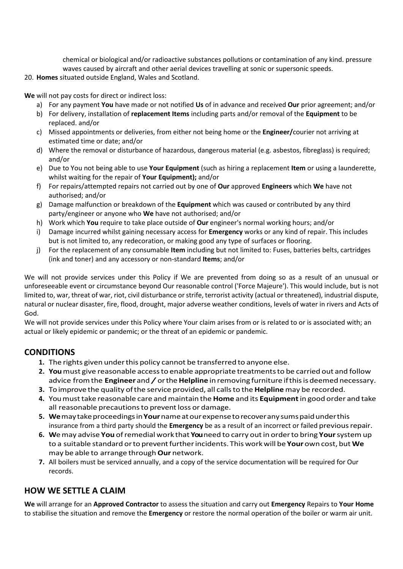chemical or biological and/or radioactive substances pollutions or contamination of any kind. pressure waves caused by aircraft and other aerial devices travelling at sonic or supersonic speeds.

## 20. **Homes** situated outside England, Wales and Scotland.

**We** will not pay costs for direct or indirect loss:

- a) For any payment **You** have made or not notified **Us** of in advance and received **Our** prior agreement; and/or
- b) For delivery, installation of **replacement Items** including parts and/or removal of the **Equipment** to be replaced. and/or
- c) Missed appointments or deliveries, from either not being home or the **Engineer/**courier not arriving at estimated time or date; and/or
- d) Where the removal or disturbance of hazardous, dangerous material (e.g. asbestos, fibreglass) is required; and/or
- e) Due to You not being able to use **Your Equipment** (such as hiring a replacement **Item** or using a launderette, whilst waiting for the repair of **Your Equipment);** and/or
- f) For repairs/attempted repairs not carried out by one of **Our** approved **Engineers** which **We** have not authorised; and/or
- g) Damage malfunction or breakdown of the **Equipment** which was caused or contributed by any third party/engineer or anyone who **We** have not authorised; and/or
- h) Work which **You** require to take place outside of **Our** engineer's normal working hours; and/or
- i) Damage incurred whilst gaining necessary access for **Emergency** works or any kind of repair. This includes but is not limited to, any redecoration, or making good any type of surfaces or flooring.
- j) For the replacement of any consumable **Item** including but not limited to: Fuses, batteries belts, cartridges (ink and toner) and any accessory or non-standard **Items**; and/or

We will not provide services under this Policy if We are prevented from doing so as a result of an unusual or unforeseeable event or circumstance beyond Our reasonable control ('Force Majeure'). This would include, but is not limited to, war, threat of war, riot, civil disturbance or strife, terrorist activity (actual or threatened), industrial dispute, natural or nuclear disaster, fire, flood, drought, major adverse weather conditions, levels of water in rivers and Acts of God.

We will not provide services under this Policy where Your claim arises from or is related to or is associated with; an actual or likely epidemic or pandemic; or the threat of an epidemic or pandemic.

# **CONDITIONS**

- **1.** The rights given underthis policy cannot be transferred to anyone else.
- **2. You**must give reasonable accessto enable appropriate treatmentsto be carried out and follow advice from the **Engineer** and / or the **Helpline** in removing furniture if this is deemed necessary.
- **3.** Toimprove the quality ofthe service provided, all callsto the **Helpline** may be recorded.
- **4.** Youmusttake reasonable care andmaintain the **Home** and its **Equipment**in good order and take all reasonable precautions to prevent loss or damage.
- **5. We**maytakeproceedingsin**Your**nameatourexpensetorecoverany sumspaidunderthis insurance from a third party should the **Emergency** be as a result of an incorrect or failed previousrepair.
- **6. W**emay advise **You** ofremedial work that **You**need to carry outin orderto bring **Your**systemup to a suitable standard orto preventfurtherincidents.This workwill be **Your** own cost, but **We** may be able to arrange through**Our** network.
- **7.** All boilers must be serviced annually, and a copy of the service documentation will be required for Our records.

# **HOW WE SETTLE A CLAIM**

**We** will arrange for an **Approved Contractor** to assess the situation and carry out **Emergency** Repairs to **Your Home** to stabilise the situation and remove the **Emergency** or restore the normal operation of the boiler or warm air unit.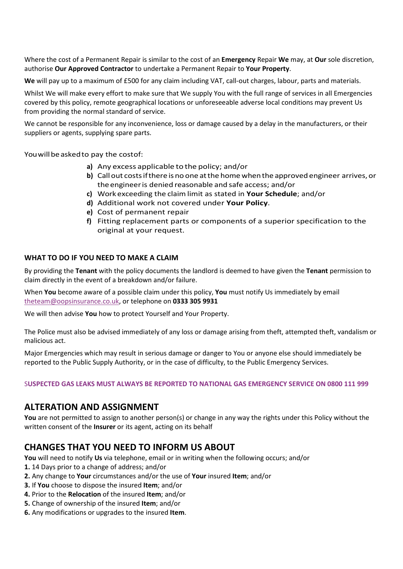Where the cost of a Permanent Repair is similar to the cost of an **Emergency** Repair **We** may, at **Our** sole discretion, authorise **Our Approved Contractor** to undertake a Permanent Repair to **Your Property**.

**We** will pay up to a maximum of £500 for any claim including VAT, call-out charges, labour, parts and materials.

Whilst We will make every effort to make sure that We supply You with the full range of services in all Emergencies covered by this policy, remote geographical locations or unforeseeable adverse local conditions may prevent Us from providing the normal standard of service.

We cannot be responsible for any inconvenience, loss or damage caused by a delay in the manufacturers, or their suppliers or agents, supplying spare parts.

You will be asked to pay the costof:

- **a)** Any excess applicable to the policy; and/or
- **b)** Call out costs if there is no one at the home when the approved engineer arrives, or the engineeris denied reasonable and safe access; and/or
- **c)** Work exceeding the claim limit as stated in **Your Schedule**; and/or
- **d)** Additional work not covered under **Your Policy**.
- **e)** Cost of permanent repair
- **f)** Fitting replacement parts or components of a superior specification to the original at your request.

### **WHAT TO DO IF YOU NEED TO MAKE A CLAIM**

By providing the **Tenant** with the policy documents the landlord is deemed to have given the **Tenant** permission to claim directly in the event of a breakdown and/or failure.

When **You** become aware of a possible claim under this policy, **You** must notify Us immediately by email [theteam@oopsinsurance.co.uk,](mailto:theteam@oopsinsurance.co.uk) or telephone on **0333 305 9931**

We will then advise **You** how to protect Yourself and Your Property.

The Police must also be advised immediately of any loss or damage arising from theft, attempted theft, vandalism or malicious act.

Major Emergencies which may result in serious damage or danger to You or anyone else should immediately be reported to the Public Supply Authority, or in the case of difficulty, to the Public Emergency Services.

S**USPECTED GAS LEAKS MUST ALWAYS BE REPORTED TO NATIONAL GAS EMERGENCY SERVICE ON 0800 111 999**

# **ALTERATION AND ASSIGNMENT**

**You** are not permitted to assign to another person(s) or change in any way the rights under this Policy without the written consent of the **Insurer** or its agent, acting on its behalf

# **CHANGES THAT YOU NEED TO INFORM US ABOUT**

**You** will need to notify **Us** via telephone, email or in writing when the following occurs; and/or

- **1.** 14 Days prior to a change of address; and/or
- **2.** Any change to **Your** circumstances and/or the use of **Your** insured **Item**; and/or
- **3.** If **You** choose to dispose the insured **Item**; and/or
- **4.** Prior to the **Relocation** of the insured **Item**; and/or
- **5.** Change of ownership of the insured **Item**; and/or
- **6.** Any modifications or upgrades to the insured **Item**.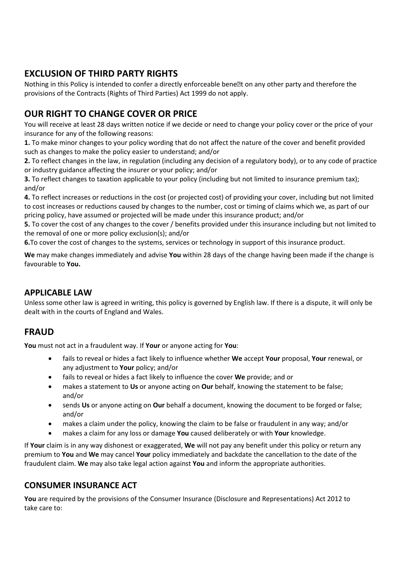# **EXCLUSION OF THIRD PARTY RIGHTS**

Nothing in this Policy is intended to confer a directly enforceable bene�t on any other party and therefore the provisions of the Contracts (Rights of Third Parties) Act 1999 do not apply.

# **OUR RIGHT TO CHANGE COVER OR PRICE**

You will receive at least 28 days written notice if we decide or need to change your policy cover or the price of your insurance for any of the following reasons:

**1.** To make minor changes to your policy wording that do not affect the nature of the cover and benefit provided such as changes to make the policy easier to understand; and/or

**2.** To reflect changes in the law, in regulation (including any decision of a regulatory body), or to any code of practice or industry guidance affecting the insurer or your policy; and/or

**3.** To reflect changes to taxation applicable to your policy (including but not limited to insurance premium tax); and/or

**4.** To reflect increases or reductions in the cost (or projected cost) of providing your cover, including but not limited to cost increases or reductions caused by changes to the number, cost or timing of claims which we, as part of our pricing policy, have assumed or projected will be made under this insurance product; and/or

**5.** To cover the cost of any changes to the cover / benefits provided under this insurance including but not limited to the removal of one or more policy exclusion(s); and/or

**6.**To cover the cost of changes to the systems, services or technology in support of this insurance product.

**We** may make changes immediately and advise **You** within 28 days of the change having been made if the change is favourable to **You.**

# **APPLICABLE LAW**

Unless some other law is agreed in writing, this policy is governed by English law. If there is a dispute, it will only be dealt with in the courts of England and Wales.

# **FRAUD**

**You** must not act in a fraudulent way. If **Your** or anyone acting for **You**:

- fails to reveal or hides a fact likely to influence whether **We** accept **Your** proposal, **Your** renewal, or any adjustment to **Your** policy; and/or
- fails to reveal or hides a fact likely to influence the cover **We** provide; and or
- makes a statement to **Us** or anyone acting on **Our** behalf, knowing the statement to be false; and/or
- sends **Us** or anyone acting on **Our** behalf a document, knowing the document to be forged or false; and/or
- makes a claim under the policy, knowing the claim to be false or fraudulent in any way; and/or
- makes a claim for any loss or damage **You** caused deliberately or with **Your** knowledge.

If **Your** claim is in any way dishonest or exaggerated, **We** will not pay any benefit under this policy or return any premium to **You** and **We** may cancel **Your** policy immediately and backdate the cancellation to the date of the fraudulent claim. **We** may also take legal action against **You** and inform the appropriate authorities.

# **CONSUMER INSURANCE ACT**

**You** are required by the provisions of the Consumer Insurance (Disclosure and Representations) Act 2012 to take care to: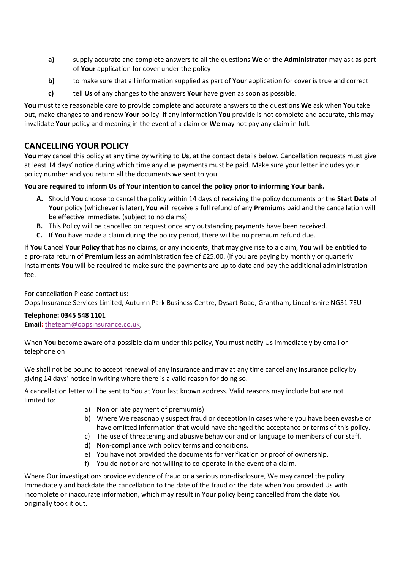- **a)** supply accurate and complete answers to all the questions **We** or the **Administrator** may ask as part of **Your** application for cover under the policy
- **b)** to make sure that all information supplied as part of **You**r application for cover is true and correct
- **c)** tell **Us** of any changes to the answers **Your** have given as soon as possible.

**You** must take reasonable care to provide complete and accurate answers to the questions **We** ask when **You** take out, make changes to and renew **Your** policy. If any information **You** provide is not complete and accurate, this may invalidate **Your** policy and meaning in the event of a claim or **We** may not pay any claim in full.

# **CANCELLING YOUR POLICY**

**You** may cancel this policy at any time by writing to **Us,** at the contact details below. Cancellation requests must give at least 14 days' notice during which time any due payments must be paid. Make sure your letter includes your policy number and you return all the documents we sent to you.

# **You are required to inform Us of Your intention to cancel the policy prior to informing Your bank.**

- **A.** Should **You** choose to cancel the policy within 14 days of receiving the policy documents or the **Start Date** of **Your** policy (whichever is later), **You** will receive a full refund of any **Premium**s paid and the cancellation will be effective immediate. (subject to no claims)
- **B.** This Policy will be cancelled on request once any outstanding payments have been received.
- **C.** If **You** have made a claim during the policy period, there will be no premium refund due.

If **You** Cancel **Your Policy** that has no claims, or any incidents, that may give rise to a claim, **You** will be entitled to a pro-rata return of **Premium** less an administration fee of £25.00. (if you are paying by monthly or quarterly Instalments **You** will be required to make sure the payments are up to date and pay the additional administration fee.

For cancellation Please contact us:

Oops Insurance Services Limited, Autumn Park Business Centre, Dysart Road, Grantham, Lincolnshire NG31 7EU

## **Telephone: 0345 548 1101**

**Email:** [theteam@oopsinsurance.co.uk,](mailto:theteam@oopsinsurance.co.uk)

When **You** become aware of a possible claim under this policy, **You** must notify Us immediately by email or telephone on

We shall not be bound to accept renewal of any insurance and may at any time cancel any insurance policy by giving 14 days' notice in writing where there is a valid reason for doing so.

A cancellation letter will be sent to You at Your last known address. Valid reasons may include but are not limited to:

- a) Non or late payment of premium(s)
- b) Where We reasonably suspect fraud or deception in cases where you have been evasive or have omitted information that would have changed the acceptance or terms of this policy.
- c) The use of threatening and abusive behaviour and or language to members of our staff.
- d) Non-compliance with policy terms and conditions.
- e) You have not provided the documents for verification or proof of ownership.
- f) You do not or are not willing to co-operate in the event of a claim.

Where Our investigations provide evidence of fraud or a serious non-disclosure, We may cancel the policy Immediately and backdate the cancellation to the date of the fraud or the date when You provided Us with incomplete or inaccurate information, which may result in Your policy being cancelled from the date You originally took it out.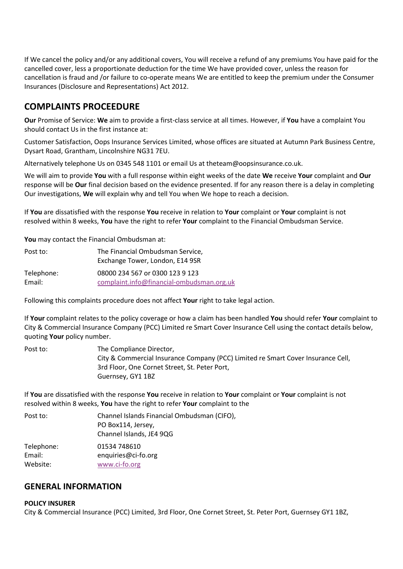If We cancel the policy and/or any additional covers, You will receive a refund of any premiums You have paid for the cancelled cover, less a proportionate deduction for the time We have provided cover, unless the reason for cancellation is fraud and /or failure to co-operate means We are entitled to keep the premium under the Consumer Insurances (Disclosure and Representations) Act 2012.

# **COMPLAINTS PROCEEDURE**

**Our** Promise of Service: **We** aim to provide a first-class service at all times. However, if **You** have a complaint You should contact Us in the first instance at:

Customer Satisfaction, Oops Insurance Services Limited, whose offices are situated at Autumn Park Business Centre, Dysart Road, Grantham, Lincolnshire NG31 7EU.

Alternatively telephone Us on 0345 548 1101 or email Us at theteam@oopsinsurance.co.uk.

We will aim to provide **You** with a full response within eight weeks of the date **We** receive **Your** complaint and **Our**  response will be **Our** final decision based on the evidence presented. If for any reason there is a delay in completing Our investigations, **We** will explain why and tell You when We hope to reach a decision.

If **You** are dissatisfied with the response **You** receive in relation to **Your** complaint or **Your** complaint is not resolved within 8 weeks, **You** have the right to refer **Your** complaint to the Financial Ombudsman Service.

**You** may contact the Financial Ombudsman at:

| Post to:   | The Financial Ombudsman Service,          |
|------------|-------------------------------------------|
|            | Exchange Tower, London, E14 9SR           |
| Telephone: | 08000 234 567 or 0300 123 9 123           |
| Email:     | complaint.info@financial-ombudsman.org.uk |

Following this complaints procedure does not affect **Your** right to take legal action.

If **Your** complaint relates to the policy coverage or how a claim has been handled **You** should refer **Your** complaint to City & Commercial Insurance Company (PCC) Limited re Smart Cover Insurance Cell using the contact details below, quoting **Your** policy number.

| Post to: | The Compliance Director,                                                         |
|----------|----------------------------------------------------------------------------------|
|          | City & Commercial Insurance Company (PCC) Limited re Smart Cover Insurance Cell, |
|          | 3rd Floor, One Cornet Street, St. Peter Port,                                    |
|          | Guernsey, GY1 1BZ                                                                |

If **You** are dissatisfied with the response **You** receive in relation to **Your** complaint or **Your** complaint is not resolved within 8 weeks, **You** have the right to refer **Your** complaint to the

| Post to:   | Channel Islands Financial Ombudsman (CIFO), |
|------------|---------------------------------------------|
|            | PO Box114, Jersey,                          |
|            | Channel Islands, JE4 9QG                    |
| Telephone: | 01534 748610                                |
| Email:     | enquiries@ci-fo.org                         |
| Website:   | www.ci-fo.org                               |

# **GENERAL INFORMATION**

### **POLICY INSURER**

City & Commercial Insurance (PCC) Limited, 3rd Floor, One Cornet Street, St. Peter Port, Guernsey GY1 1BZ,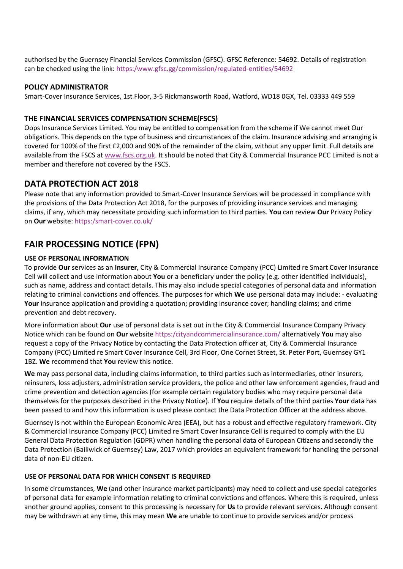authorised by the Guernsey Financial Services Commission (GFSC). GFSC Reference: 54692. Details of registration can be checked using the link: https:/www.gfsc.gg/commission/regulated-entities/54692

### **POLICY ADMINISTRATOR**

Smart-Cover Insurance Services, 1st Floor, 3-5 Rickmansworth Road, Watford, WD18 0GX, Tel. 03333 449 559

## **THE FINANCIAL SERVICES COMPENSATION SCHEME(FSCS)**

Oops Insurance Services Limited. You may be entitled to compensation from the scheme if We cannot meet Our obligations. This depends on the type of business and circumstances of the claim. Insurance advising and arranging is covered for 100% of the first £2,000 and 90% of the remainder of the claim, without any upper limit. Full details are available from the FSCS a[t www.fscs.org.uk.](http://www.fscs.org.uk/) It should be noted that City & Commercial Insurance PCC Limited is not a member and therefore not covered by the FSCS.

# **DATA PROTECTION ACT 2018**

Please note that any information provided to Smart-Cover Insurance Services will be processed in compliance with the provisions of the Data Protection Act 2018, for the purposes of providing insurance services and managing claims, if any, which may necessitate providing such information to third parties. **You** can review **Our** Privacy Policy on **Our** website: https:/smart-cover.co.uk/

# **FAIR PROCESSING NOTICE (FPN)**

### **USE OF PERSONAL INFORMATION**

To provide **Our** services as an **Insurer**, City & Commercial Insurance Company (PCC) Limited re Smart Cover Insurance Cell will collect and use information about **You** or a beneficiary under the policy (e.g. other identified individuals), such as name, address and contact details. This may also include special categories of personal data and information relating to criminal convictions and offences. The purposes for which **We** use personal data may include: - evaluating **Your** insurance application and providing a quotation; providing insurance cover; handling claims; and crime prevention and debt recovery.

More information about **Our** use of personal data is set out in the City & Commercial Insurance Company Privacy Notice which can be found on **Our** website https:/cityandcommercialinsurance.com/ alternatively **You** may also request a copy of the Privacy Notice by contacting the Data Protection officer at, City & Commercial Insurance Company (PCC) Limited re Smart Cover Insurance Cell, 3rd Floor, One Cornet Street, St. Peter Port, Guernsey GY1 1BZ. **We** recommend that **You** review this notice.

**We** may pass personal data, including claims information, to third parties such as intermediaries, other insurers, reinsurers, loss adjusters, administration service providers, the police and other law enforcement agencies, fraud and crime prevention and detection agencies (for example certain regulatory bodies who may require personal data themselves for the purposes described in the Privacy Notice). If **You** require details of the third parties **Your** data has been passed to and how this information is used please contact the Data Protection Officer at the address above.

Guernsey is not within the European Economic Area (EEA), but has a robust and effective regulatory framework. City & Commercial Insurance Company (PCC) Limited re Smart Cover Insurance Cell is required to comply with the EU General Data Protection Regulation (GDPR) when handling the personal data of European Citizens and secondly the Data Protection (Bailiwick of Guernsey) Law, 2017 which provides an equivalent framework for handling the personal data of non-EU citizen.

### **USE OF PERSONAL DATA FOR WHICH CONSENT IS REQUIRED**

In some circumstances, **We** (and other insurance market participants) may need to collect and use special categories of personal data for example information relating to criminal convictions and offences. Where this is required, unless another ground applies, consent to this processing is necessary for **Us** to provide relevant services. Although consent may be withdrawn at any time, this may mean **We** are unable to continue to provide services and/or process